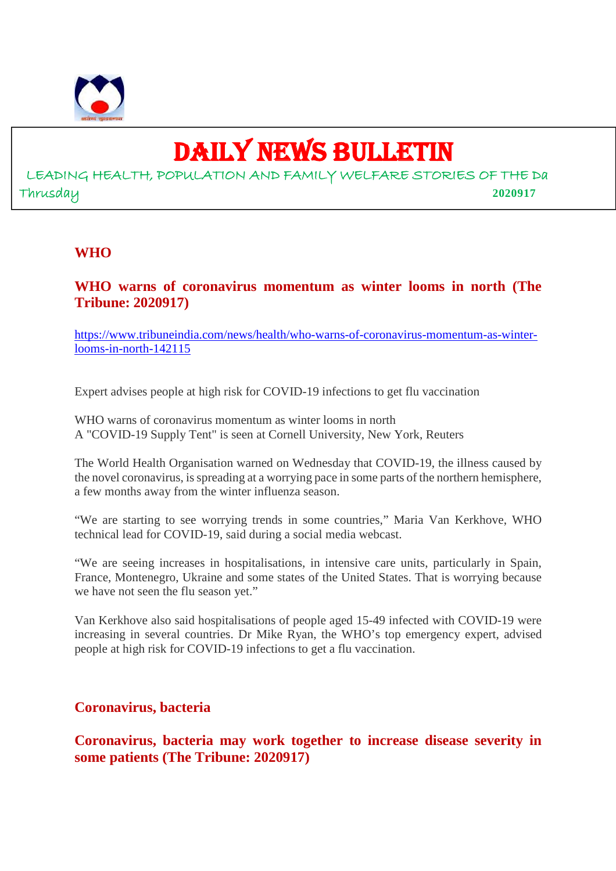

# DAILY NEWS BULLETIN

LEADING HEALTH, POPULATION AND FAMILY WELFARE STORIES OF THE Da Thrusday **2020917**

#### **WHO**

# **WHO warns of coronavirus momentum as winter looms in north (The Tribune: 2020917)**

https://www.tribuneindia.com/news/health/who-warns-of-coronavirus-momentum-as-winterlooms-in-north-142115

Expert advises people at high risk for COVID-19 infections to get flu vaccination

WHO warns of coronavirus momentum as winter looms in north A "COVID-19 Supply Tent" is seen at Cornell University, New York, Reuters

The World Health Organisation warned on Wednesday that COVID-19, the illness caused by the novel coronavirus, is spreading at a worrying pace in some parts of the northern hemisphere, a few months away from the winter influenza season.

"We are starting to see worrying trends in some countries," Maria Van Kerkhove, WHO technical lead for COVID-19, said during a social media webcast.

"We are seeing increases in hospitalisations, in intensive care units, particularly in Spain, France, Montenegro, Ukraine and some states of the United States. That is worrying because we have not seen the flu season yet."

Van Kerkhove also said hospitalisations of people aged 15-49 infected with COVID-19 were increasing in several countries. Dr Mike Ryan, the WHO's top emergency expert, advised people at high risk for COVID-19 infections to get a flu vaccination.

#### **Coronavirus, bacteria**

**Coronavirus, bacteria may work together to increase disease severity in some patients (The Tribune: 2020917)**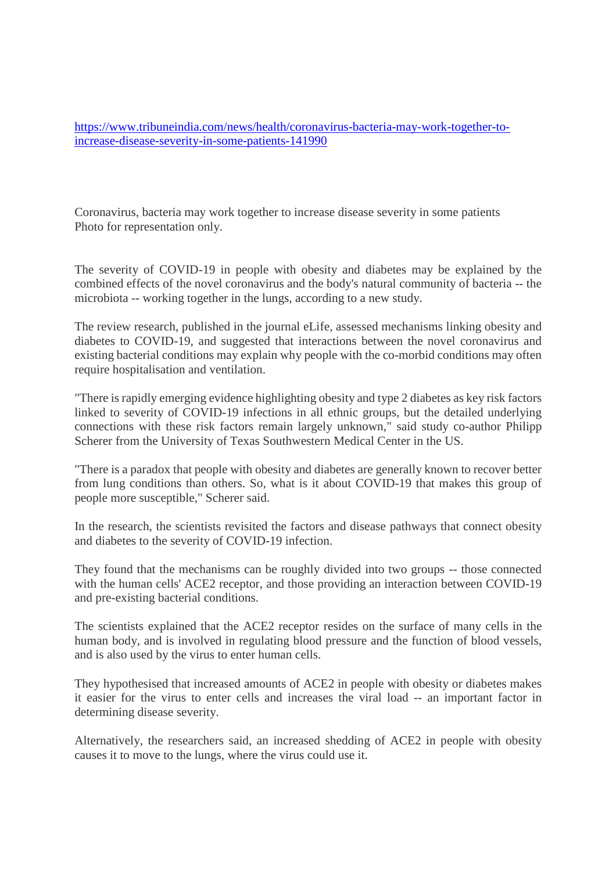https://www.tribuneindia.com/news/health/coronavirus-bacteria-may-work-together-toincrease-disease-severity-in-some-patients-141990

Coronavirus, bacteria may work together to increase disease severity in some patients Photo for representation only.

The severity of COVID-19 in people with obesity and diabetes may be explained by the combined effects of the novel coronavirus and the body's natural community of bacteria -- the microbiota -- working together in the lungs, according to a new study.

The review research, published in the journal eLife, assessed mechanisms linking obesity and diabetes to COVID-19, and suggested that interactions between the novel coronavirus and existing bacterial conditions may explain why people with the co-morbid conditions may often require hospitalisation and ventilation.

"There is rapidly emerging evidence highlighting obesity and type 2 diabetes as key risk factors linked to severity of COVID-19 infections in all ethnic groups, but the detailed underlying connections with these risk factors remain largely unknown," said study co-author Philipp Scherer from the University of Texas Southwestern Medical Center in the US.

"There is a paradox that people with obesity and diabetes are generally known to recover better from lung conditions than others. So, what is it about COVID-19 that makes this group of people more susceptible," Scherer said.

In the research, the scientists revisited the factors and disease pathways that connect obesity and diabetes to the severity of COVID-19 infection.

They found that the mechanisms can be roughly divided into two groups -- those connected with the human cells' ACE2 receptor, and those providing an interaction between COVID-19 and pre-existing bacterial conditions.

The scientists explained that the ACE2 receptor resides on the surface of many cells in the human body, and is involved in regulating blood pressure and the function of blood vessels, and is also used by the virus to enter human cells.

They hypothesised that increased amounts of ACE2 in people with obesity or diabetes makes it easier for the virus to enter cells and increases the viral load -- an important factor in determining disease severity.

Alternatively, the researchers said, an increased shedding of ACE2 in people with obesity causes it to move to the lungs, where the virus could use it.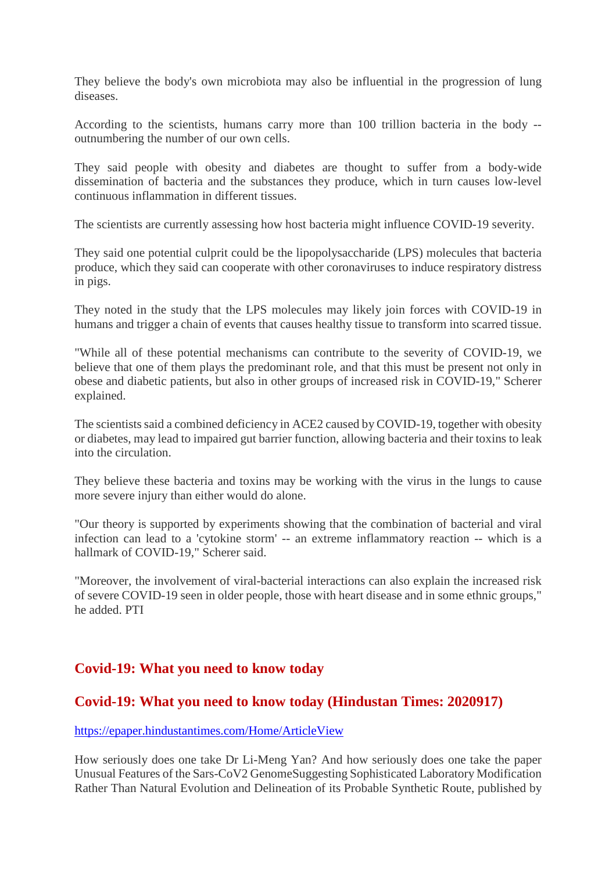They believe the body's own microbiota may also be influential in the progression of lung diseases.

According to the scientists, humans carry more than 100 trillion bacteria in the body - outnumbering the number of our own cells.

They said people with obesity and diabetes are thought to suffer from a body-wide dissemination of bacteria and the substances they produce, which in turn causes low-level continuous inflammation in different tissues.

The scientists are currently assessing how host bacteria might influence COVID-19 severity.

They said one potential culprit could be the lipopolysaccharide (LPS) molecules that bacteria produce, which they said can cooperate with other coronaviruses to induce respiratory distress in pigs.

They noted in the study that the LPS molecules may likely join forces with COVID-19 in humans and trigger a chain of events that causes healthy tissue to transform into scarred tissue.

"While all of these potential mechanisms can contribute to the severity of COVID-19, we believe that one of them plays the predominant role, and that this must be present not only in obese and diabetic patients, but also in other groups of increased risk in COVID-19," Scherer explained.

The scientists said a combined deficiency in ACE2 caused by COVID-19, together with obesity or diabetes, may lead to impaired gut barrier function, allowing bacteria and their toxins to leak into the circulation.

They believe these bacteria and toxins may be working with the virus in the lungs to cause more severe injury than either would do alone.

"Our theory is supported by experiments showing that the combination of bacterial and viral infection can lead to a 'cytokine storm' -- an extreme inflammatory reaction -- which is a hallmark of COVID-19," Scherer said.

"Moreover, the involvement of viral-bacterial interactions can also explain the increased risk of severe COVID-19 seen in older people, those with heart disease and in some ethnic groups," he added. PTI

# **Covid-19: What you need to know today**

# **Covid-19: What you need to know today (Hindustan Times: 2020917)**

https://epaper.hindustantimes.com/Home/ArticleView

How seriously does one take Dr Li-Meng Yan? And how seriously does one take the paper Unusual Features of the Sars-CoV2 GenomeSuggesting Sophisticated Laboratory Modification Rather Than Natural Evolution and Delineation of its Probable Synthetic Route, published by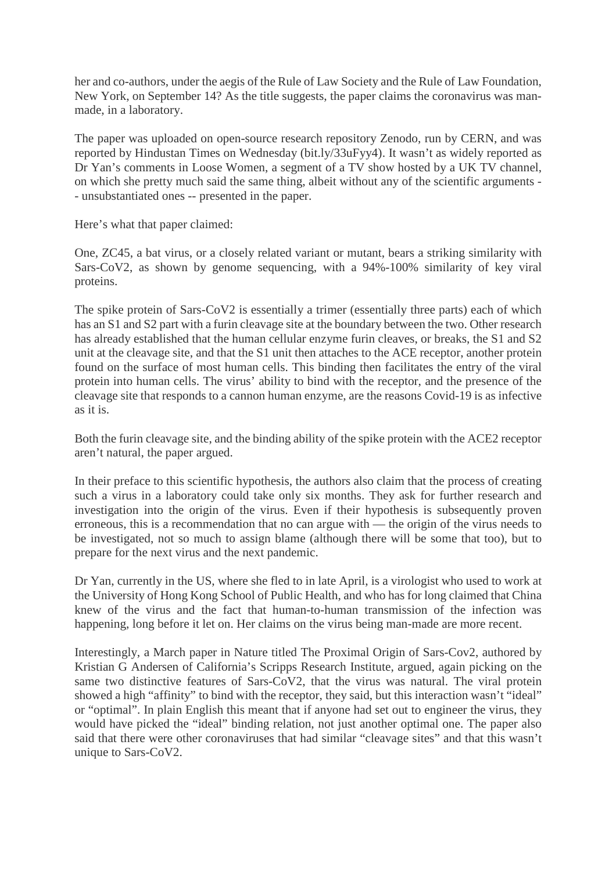her and co-authors, under the aegis of the Rule of Law Society and the Rule of Law Foundation, New York, on September 14? As the title suggests, the paper claims the coronavirus was manmade, in a laboratory.

The paper was uploaded on open-source research repository Zenodo, run by CERN, and was reported by Hindustan Times on Wednesday (bit.ly/33uFyy4). It wasn't as widely reported as Dr Yan's comments in Loose Women, a segment of a TV show hosted by a UK TV channel, on which she pretty much said the same thing, albeit without any of the scientific arguments - - unsubstantiated ones -- presented in the paper.

Here's what that paper claimed:

One, ZC45, a bat virus, or a closely related variant or mutant, bears a striking similarity with Sars-CoV2, as shown by genome sequencing, with a 94%-100% similarity of key viral proteins.

The spike protein of Sars-CoV2 is essentially a trimer (essentially three parts) each of which has an S1 and S2 part with a furin cleavage site at the boundary between the two. Other research has already established that the human cellular enzyme furin cleaves, or breaks, the S1 and S2 unit at the cleavage site, and that the S1 unit then attaches to the ACE receptor, another protein found on the surface of most human cells. This binding then facilitates the entry of the viral protein into human cells. The virus' ability to bind with the receptor, and the presence of the cleavage site that responds to a cannon human enzyme, are the reasons Covid-19 is as infective as it is.

Both the furin cleavage site, and the binding ability of the spike protein with the ACE2 receptor aren't natural, the paper argued.

In their preface to this scientific hypothesis, the authors also claim that the process of creating such a virus in a laboratory could take only six months. They ask for further research and investigation into the origin of the virus. Even if their hypothesis is subsequently proven erroneous, this is a recommendation that no can argue with — the origin of the virus needs to be investigated, not so much to assign blame (although there will be some that too), but to prepare for the next virus and the next pandemic.

Dr Yan, currently in the US, where she fled to in late April, is a virologist who used to work at the University of Hong Kong School of Public Health, and who has for long claimed that China knew of the virus and the fact that human-to-human transmission of the infection was happening, long before it let on. Her claims on the virus being man-made are more recent.

Interestingly, a March paper in Nature titled The Proximal Origin of Sars-Cov2, authored by Kristian G Andersen of California's Scripps Research Institute, argued, again picking on the same two distinctive features of Sars-CoV2, that the virus was natural. The viral protein showed a high "affinity" to bind with the receptor, they said, but this interaction wasn't "ideal" or "optimal". In plain English this meant that if anyone had set out to engineer the virus, they would have picked the "ideal" binding relation, not just another optimal one. The paper also said that there were other coronaviruses that had similar "cleavage sites" and that this wasn't unique to Sars-CoV2.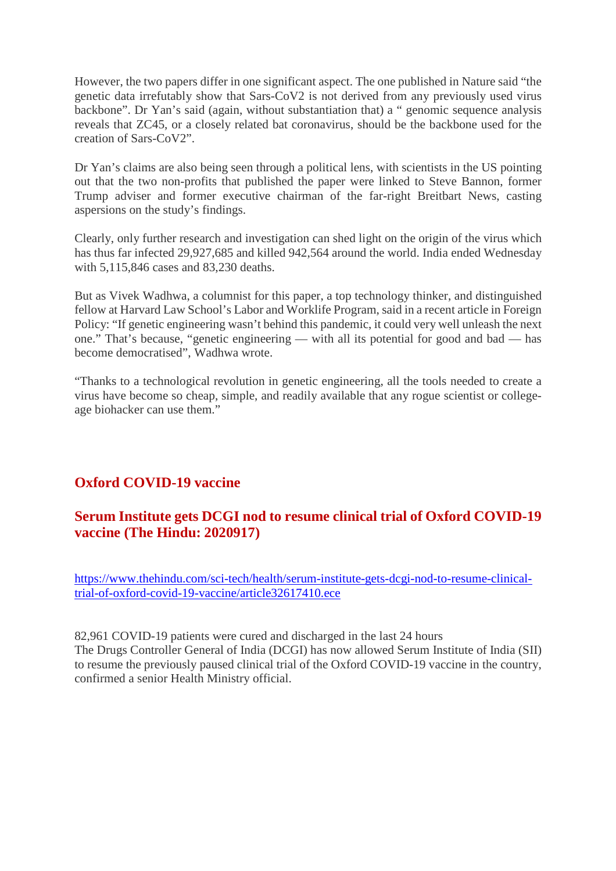However, the two papers differ in one significant aspect. The one published in Nature said "the genetic data irrefutably show that Sars-CoV2 is not derived from any previously used virus backbone". Dr Yan's said (again, without substantiation that) a " genomic sequence analysis reveals that ZC45, or a closely related bat coronavirus, should be the backbone used for the creation of Sars-CoV2".

Dr Yan's claims are also being seen through a political lens, with scientists in the US pointing out that the two non-profits that published the paper were linked to Steve Bannon, former Trump adviser and former executive chairman of the far-right Breitbart News, casting aspersions on the study's findings.

Clearly, only further research and investigation can shed light on the origin of the virus which has thus far infected 29,927,685 and killed 942,564 around the world. India ended Wednesday with 5,115,846 cases and 83,230 deaths.

But as Vivek Wadhwa, a columnist for this paper, a top technology thinker, and distinguished fellow at Harvard Law School's Labor and Worklife Program, said in a recent article in Foreign Policy: "If genetic engineering wasn't behind this pandemic, it could very well unleash the next one." That's because, "genetic engineering — with all its potential for good and bad — has become democratised", Wadhwa wrote.

"Thanks to a technological revolution in genetic engineering, all the tools needed to create a virus have become so cheap, simple, and readily available that any rogue scientist or collegeage biohacker can use them."

# **Oxford COVID-19 vaccine**

# **Serum Institute gets DCGI nod to resume clinical trial of Oxford COVID-19 vaccine (The Hindu: 2020917)**

https://www.thehindu.com/sci-tech/health/serum-institute-gets-dcgi-nod-to-resume-clinicaltrial-of-oxford-covid-19-vaccine/article32617410.ece

82,961 COVID-19 patients were cured and discharged in the last 24 hours The Drugs Controller General of India (DCGI) has now allowed Serum Institute of India (SII) to resume the previously paused clinical trial of the Oxford COVID-19 vaccine in the country, confirmed a senior Health Ministry official.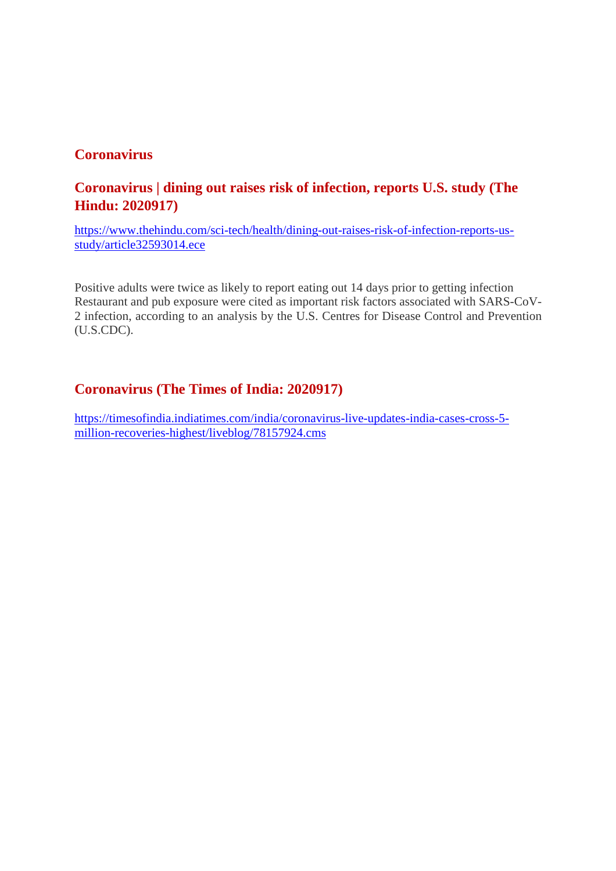# **Coronavirus**

# **Coronavirus | dining out raises risk of infection, reports U.S. study (The Hindu: 2020917)**

https://www.thehindu.com/sci-tech/health/dining-out-raises-risk-of-infection-reports-usstudy/article32593014.ece

Positive adults were twice as likely to report eating out 14 days prior to getting infection Restaurant and pub exposure were cited as important risk factors associated with SARS-CoV-2 infection, according to an analysis by the U.S. Centres for Disease Control and Prevention (U.S.CDC).

#### **Coronavirus (The Times of India: 2020917)**

https://timesofindia.indiatimes.com/india/coronavirus-live-updates-india-cases-cross-5 million-recoveries-highest/liveblog/78157924.cms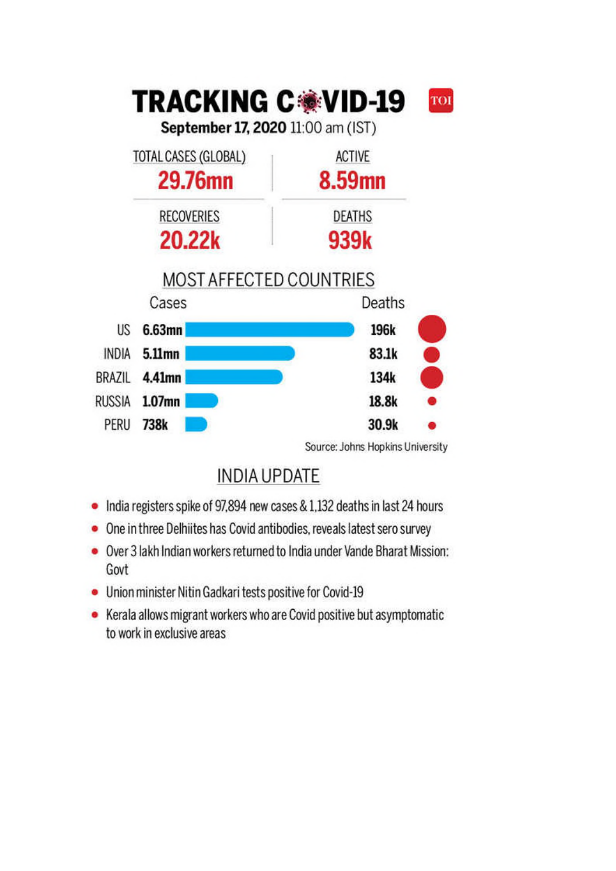

**INDIA UPDATE** 

- India registers spike of 97,894 new cases & 1,132 deaths in last 24 hours
- One in three Delhiites has Covid antibodies, reveals latest sero survey
- Over 3 lakh Indian workers returned to India under Vande Bharat Mission: Govt
- Union minister Nitin Gadkari tests positive for Covid-19
- Kerala allows migrant workers who are Covid positive but asymptomatic to work in exclusive areas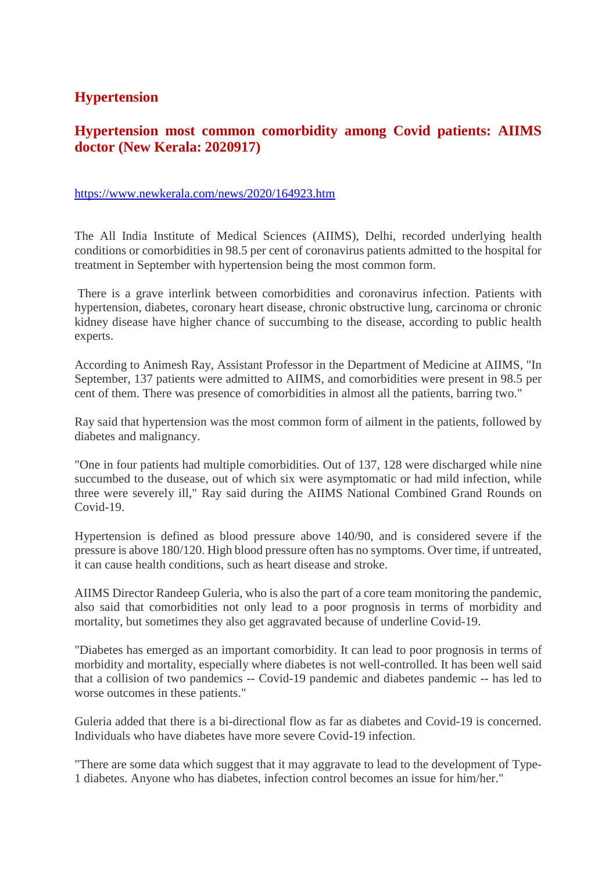# **Hypertension**

# **Hypertension most common comorbidity among Covid patients: AIIMS doctor (New Kerala: 2020917)**

#### https://www.newkerala.com/news/2020/164923.htm

The All India Institute of Medical Sciences (AIIMS), Delhi, recorded underlying health conditions or comorbidities in 98.5 per cent of coronavirus patients admitted to the hospital for treatment in September with hypertension being the most common form.

There is a grave interlink between comorbidities and coronavirus infection. Patients with hypertension, diabetes, coronary heart disease, chronic obstructive lung, carcinoma or chronic kidney disease have higher chance of succumbing to the disease, according to public health experts.

According to Animesh Ray, Assistant Professor in the Department of Medicine at AIIMS, "In September, 137 patients were admitted to AIIMS, and comorbidities were present in 98.5 per cent of them. There was presence of comorbidities in almost all the patients, barring two."

Ray said that hypertension was the most common form of ailment in the patients, followed by diabetes and malignancy.

"One in four patients had multiple comorbidities. Out of 137, 128 were discharged while nine succumbed to the dusease, out of which six were asymptomatic or had mild infection, while three were severely ill," Ray said during the AIIMS National Combined Grand Rounds on Covid-19.

Hypertension is defined as blood pressure above 140/90, and is considered severe if the pressure is above 180/120. High blood pressure often has no symptoms. Over time, if untreated, it can cause health conditions, such as heart disease and stroke.

AIIMS Director Randeep Guleria, who is also the part of a core team monitoring the pandemic, also said that comorbidities not only lead to a poor prognosis in terms of morbidity and mortality, but sometimes they also get aggravated because of underline Covid-19.

"Diabetes has emerged as an important comorbidity. It can lead to poor prognosis in terms of morbidity and mortality, especially where diabetes is not well-controlled. It has been well said that a collision of two pandemics -- Covid-19 pandemic and diabetes pandemic -- has led to worse outcomes in these patients."

Guleria added that there is a bi-directional flow as far as diabetes and Covid-19 is concerned. Individuals who have diabetes have more severe Covid-19 infection.

"There are some data which suggest that it may aggravate to lead to the development of Type-1 diabetes. Anyone who has diabetes, infection control becomes an issue for him/her."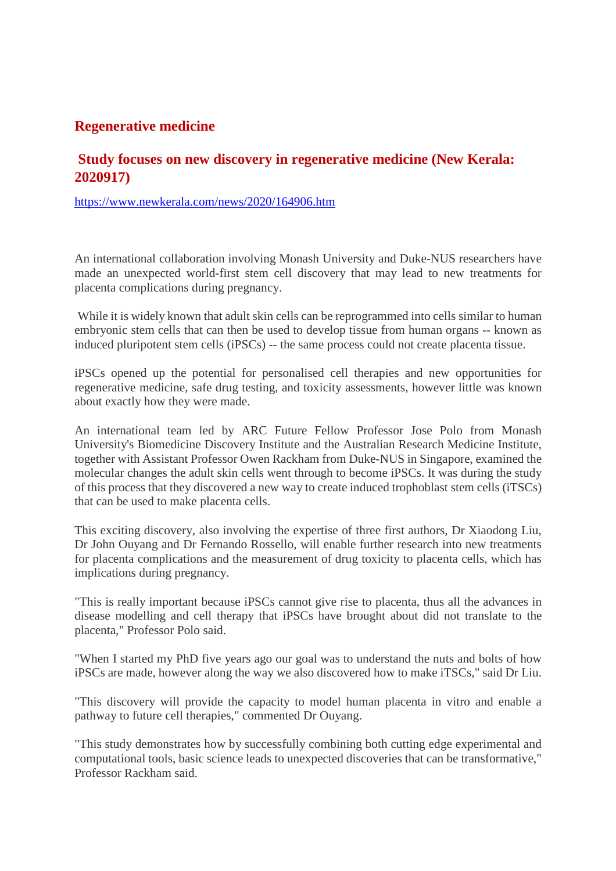# **Regenerative medicine**

# **Study focuses on new discovery in regenerative medicine (New Kerala: 2020917)**

https://www.newkerala.com/news/2020/164906.htm

An international collaboration involving Monash University and Duke-NUS researchers have made an unexpected world-first stem cell discovery that may lead to new treatments for placenta complications during pregnancy.

While it is widely known that adult skin cells can be reprogrammed into cells similar to human embryonic stem cells that can then be used to develop tissue from human organs -- known as induced pluripotent stem cells (iPSCs) -- the same process could not create placenta tissue.

iPSCs opened up the potential for personalised cell therapies and new opportunities for regenerative medicine, safe drug testing, and toxicity assessments, however little was known about exactly how they were made.

An international team led by ARC Future Fellow Professor Jose Polo from Monash University's Biomedicine Discovery Institute and the Australian Research Medicine Institute, together with Assistant Professor Owen Rackham from Duke-NUS in Singapore, examined the molecular changes the adult skin cells went through to become iPSCs. It was during the study of this process that they discovered a new way to create induced trophoblast stem cells (iTSCs) that can be used to make placenta cells.

This exciting discovery, also involving the expertise of three first authors, Dr Xiaodong Liu, Dr John Ouyang and Dr Fernando Rossello, will enable further research into new treatments for placenta complications and the measurement of drug toxicity to placenta cells, which has implications during pregnancy.

"This is really important because iPSCs cannot give rise to placenta, thus all the advances in disease modelling and cell therapy that iPSCs have brought about did not translate to the placenta," Professor Polo said.

"When I started my PhD five years ago our goal was to understand the nuts and bolts of how iPSCs are made, however along the way we also discovered how to make iTSCs," said Dr Liu.

"This discovery will provide the capacity to model human placenta in vitro and enable a pathway to future cell therapies," commented Dr Ouyang.

"This study demonstrates how by successfully combining both cutting edge experimental and computational tools, basic science leads to unexpected discoveries that can be transformative," Professor Rackham said.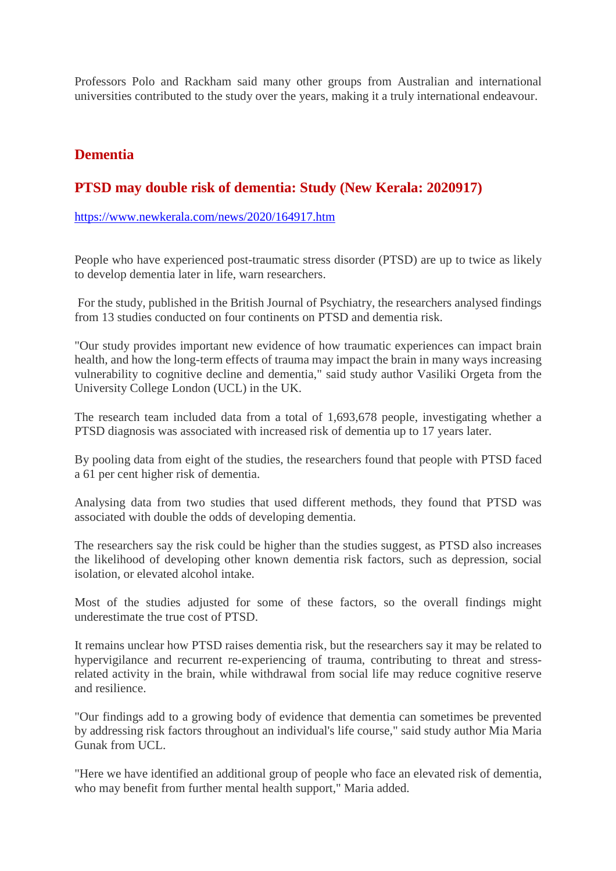Professors Polo and Rackham said many other groups from Australian and international universities contributed to the study over the years, making it a truly international endeavour.

#### **Dementia**

#### **PTSD may double risk of dementia: Study (New Kerala: 2020917)**

https://www.newkerala.com/news/2020/164917.htm

People who have experienced post-traumatic stress disorder (PTSD) are up to twice as likely to develop dementia later in life, warn researchers.

For the study, published in the British Journal of Psychiatry, the researchers analysed findings from 13 studies conducted on four continents on PTSD and dementia risk.

"Our study provides important new evidence of how traumatic experiences can impact brain health, and how the long-term effects of trauma may impact the brain in many ways increasing vulnerability to cognitive decline and dementia," said study author Vasiliki Orgeta from the University College London (UCL) in the UK.

The research team included data from a total of 1,693,678 people, investigating whether a PTSD diagnosis was associated with increased risk of dementia up to 17 years later.

By pooling data from eight of the studies, the researchers found that people with PTSD faced a 61 per cent higher risk of dementia.

Analysing data from two studies that used different methods, they found that PTSD was associated with double the odds of developing dementia.

The researchers say the risk could be higher than the studies suggest, as PTSD also increases the likelihood of developing other known dementia risk factors, such as depression, social isolation, or elevated alcohol intake.

Most of the studies adjusted for some of these factors, so the overall findings might underestimate the true cost of PTSD.

It remains unclear how PTSD raises dementia risk, but the researchers say it may be related to hypervigilance and recurrent re-experiencing of trauma, contributing to threat and stressrelated activity in the brain, while withdrawal from social life may reduce cognitive reserve and resilience.

"Our findings add to a growing body of evidence that dementia can sometimes be prevented by addressing risk factors throughout an individual's life course," said study author Mia Maria Gunak from UCL.

"Here we have identified an additional group of people who face an elevated risk of dementia, who may benefit from further mental health support," Maria added.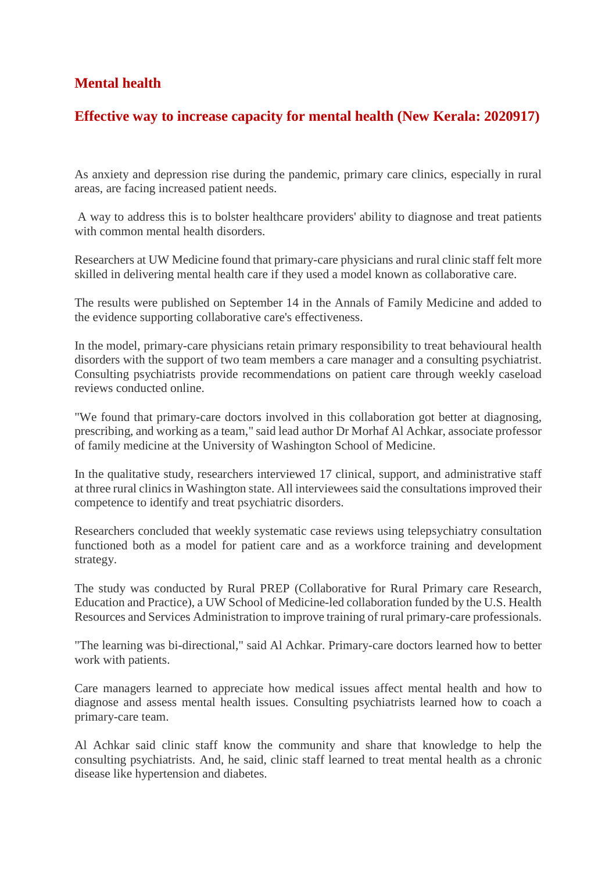# **Mental health**

# **Effective way to increase capacity for mental health (New Kerala: 2020917)**

As anxiety and depression rise during the pandemic, primary care clinics, especially in rural areas, are facing increased patient needs.

A way to address this is to bolster healthcare providers' ability to diagnose and treat patients with common mental health disorders.

Researchers at UW Medicine found that primary-care physicians and rural clinic staff felt more skilled in delivering mental health care if they used a model known as collaborative care.

The results were published on September 14 in the Annals of Family Medicine and added to the evidence supporting collaborative care's effectiveness.

In the model, primary-care physicians retain primary responsibility to treat behavioural health disorders with the support of two team members a care manager and a consulting psychiatrist. Consulting psychiatrists provide recommendations on patient care through weekly caseload reviews conducted online.

"We found that primary-care doctors involved in this collaboration got better at diagnosing, prescribing, and working as a team," said lead author Dr Morhaf Al Achkar, associate professor of family medicine at the University of Washington School of Medicine.

In the qualitative study, researchers interviewed 17 clinical, support, and administrative staff at three rural clinics in Washington state. All interviewees said the consultations improved their competence to identify and treat psychiatric disorders.

Researchers concluded that weekly systematic case reviews using telepsychiatry consultation functioned both as a model for patient care and as a workforce training and development strategy.

The study was conducted by Rural PREP (Collaborative for Rural Primary care Research, Education and Practice), a UW School of Medicine-led collaboration funded by the U.S. Health Resources and Services Administration to improve training of rural primary-care professionals.

"The learning was bi-directional," said Al Achkar. Primary-care doctors learned how to better work with patients.

Care managers learned to appreciate how medical issues affect mental health and how to diagnose and assess mental health issues. Consulting psychiatrists learned how to coach a primary-care team.

Al Achkar said clinic staff know the community and share that knowledge to help the consulting psychiatrists. And, he said, clinic staff learned to treat mental health as a chronic disease like hypertension and diabetes.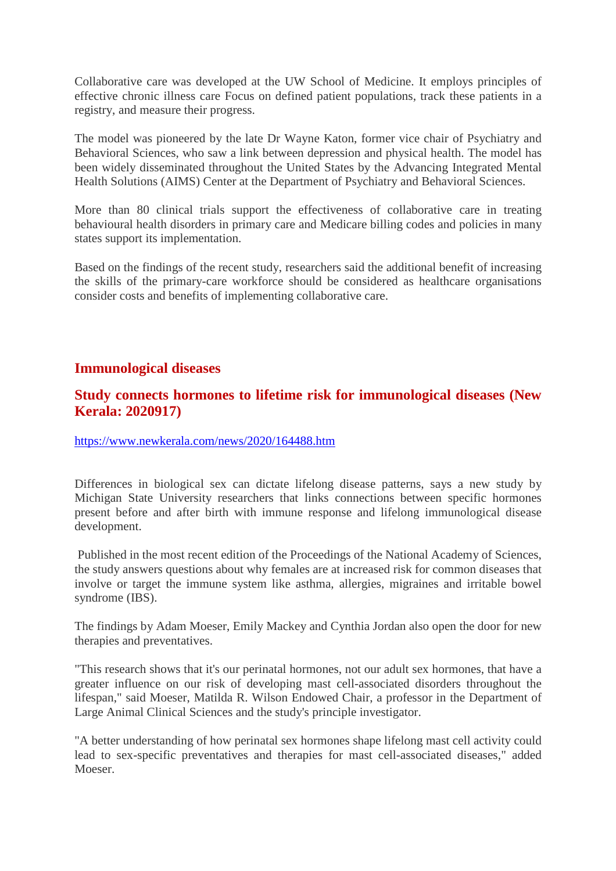Collaborative care was developed at the UW School of Medicine. It employs principles of effective chronic illness care Focus on defined patient populations, track these patients in a registry, and measure their progress.

The model was pioneered by the late Dr Wayne Katon, former vice chair of Psychiatry and Behavioral Sciences, who saw a link between depression and physical health. The model has been widely disseminated throughout the United States by the Advancing Integrated Mental Health Solutions (AIMS) Center at the Department of Psychiatry and Behavioral Sciences.

More than 80 clinical trials support the effectiveness of collaborative care in treating behavioural health disorders in primary care and Medicare billing codes and policies in many states support its implementation.

Based on the findings of the recent study, researchers said the additional benefit of increasing the skills of the primary-care workforce should be considered as healthcare organisations consider costs and benefits of implementing collaborative care.

#### **Immunological diseases**

# **Study connects hormones to lifetime risk for immunological diseases (New Kerala: 2020917)**

https://www.newkerala.com/news/2020/164488.htm

Differences in biological sex can dictate lifelong disease patterns, says a new study by Michigan State University researchers that links connections between specific hormones present before and after birth with immune response and lifelong immunological disease development.

Published in the most recent edition of the Proceedings of the National Academy of Sciences, the study answers questions about why females are at increased risk for common diseases that involve or target the immune system like asthma, allergies, migraines and irritable bowel syndrome (IBS).

The findings by Adam Moeser, Emily Mackey and Cynthia Jordan also open the door for new therapies and preventatives.

"This research shows that it's our perinatal hormones, not our adult sex hormones, that have a greater influence on our risk of developing mast cell-associated disorders throughout the lifespan," said Moeser, Matilda R. Wilson Endowed Chair, a professor in the Department of Large Animal Clinical Sciences and the study's principle investigator.

"A better understanding of how perinatal sex hormones shape lifelong mast cell activity could lead to sex-specific preventatives and therapies for mast cell-associated diseases," added Moeser.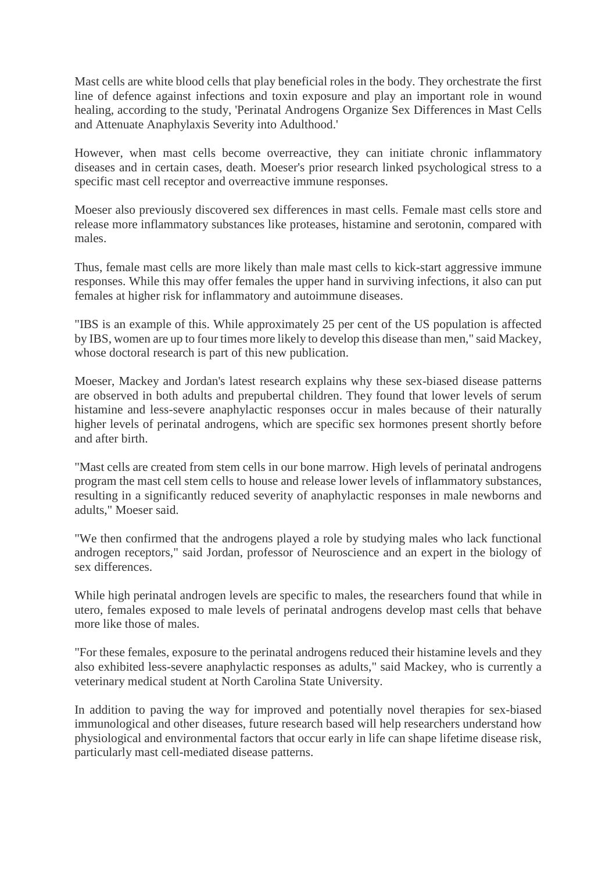Mast cells are white blood cells that play beneficial roles in the body. They orchestrate the first line of defence against infections and toxin exposure and play an important role in wound healing, according to the study, 'Perinatal Androgens Organize Sex Differences in Mast Cells and Attenuate Anaphylaxis Severity into Adulthood.'

However, when mast cells become overreactive, they can initiate chronic inflammatory diseases and in certain cases, death. Moeser's prior research linked psychological stress to a specific mast cell receptor and overreactive immune responses.

Moeser also previously discovered sex differences in mast cells. Female mast cells store and release more inflammatory substances like proteases, histamine and serotonin, compared with males.

Thus, female mast cells are more likely than male mast cells to kick-start aggressive immune responses. While this may offer females the upper hand in surviving infections, it also can put females at higher risk for inflammatory and autoimmune diseases.

"IBS is an example of this. While approximately 25 per cent of the US population is affected by IBS, women are up to four times more likely to develop this disease than men," said Mackey, whose doctoral research is part of this new publication.

Moeser, Mackey and Jordan's latest research explains why these sex-biased disease patterns are observed in both adults and prepubertal children. They found that lower levels of serum histamine and less-severe anaphylactic responses occur in males because of their naturally higher levels of perinatal androgens, which are specific sex hormones present shortly before and after birth.

"Mast cells are created from stem cells in our bone marrow. High levels of perinatal androgens program the mast cell stem cells to house and release lower levels of inflammatory substances, resulting in a significantly reduced severity of anaphylactic responses in male newborns and adults," Moeser said.

"We then confirmed that the androgens played a role by studying males who lack functional androgen receptors," said Jordan, professor of Neuroscience and an expert in the biology of sex differences.

While high perinatal androgen levels are specific to males, the researchers found that while in utero, females exposed to male levels of perinatal androgens develop mast cells that behave more like those of males.

"For these females, exposure to the perinatal androgens reduced their histamine levels and they also exhibited less-severe anaphylactic responses as adults," said Mackey, who is currently a veterinary medical student at North Carolina State University.

In addition to paving the way for improved and potentially novel therapies for sex-biased immunological and other diseases, future research based will help researchers understand how physiological and environmental factors that occur early in life can shape lifetime disease risk, particularly mast cell-mediated disease patterns.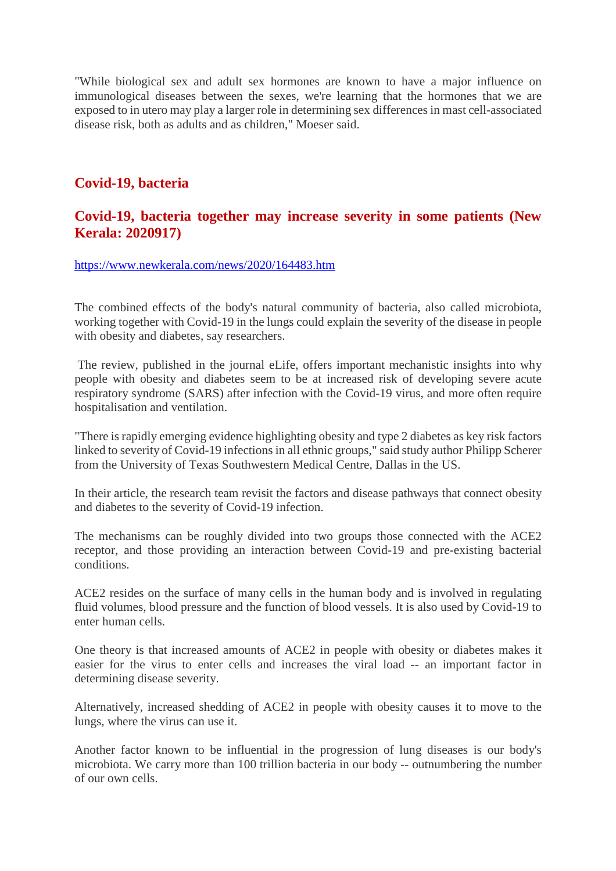"While biological sex and adult sex hormones are known to have a major influence on immunological diseases between the sexes, we're learning that the hormones that we are exposed to in utero may play a larger role in determining sex differences in mast cell-associated disease risk, both as adults and as children," Moeser said.

# **Covid-19, bacteria**

#### **Covid-19, bacteria together may increase severity in some patients (New Kerala: 2020917)**

https://www.newkerala.com/news/2020/164483.htm

The combined effects of the body's natural community of bacteria, also called microbiota, working together with Covid-19 in the lungs could explain the severity of the disease in people with obesity and diabetes, say researchers.

The review, published in the journal eLife, offers important mechanistic insights into why people with obesity and diabetes seem to be at increased risk of developing severe acute respiratory syndrome (SARS) after infection with the Covid-19 virus, and more often require hospitalisation and ventilation.

"There is rapidly emerging evidence highlighting obesity and type 2 diabetes as key risk factors linked to severity of Covid-19 infections in all ethnic groups," said study author Philipp Scherer from the University of Texas Southwestern Medical Centre, Dallas in the US.

In their article, the research team revisit the factors and disease pathways that connect obesity and diabetes to the severity of Covid-19 infection.

The mechanisms can be roughly divided into two groups those connected with the ACE2 receptor, and those providing an interaction between Covid-19 and pre-existing bacterial conditions.

ACE2 resides on the surface of many cells in the human body and is involved in regulating fluid volumes, blood pressure and the function of blood vessels. It is also used by Covid-19 to enter human cells.

One theory is that increased amounts of ACE2 in people with obesity or diabetes makes it easier for the virus to enter cells and increases the viral load -- an important factor in determining disease severity.

Alternatively, increased shedding of ACE2 in people with obesity causes it to move to the lungs, where the virus can use it.

Another factor known to be influential in the progression of lung diseases is our body's microbiota. We carry more than 100 trillion bacteria in our body -- outnumbering the number of our own cells.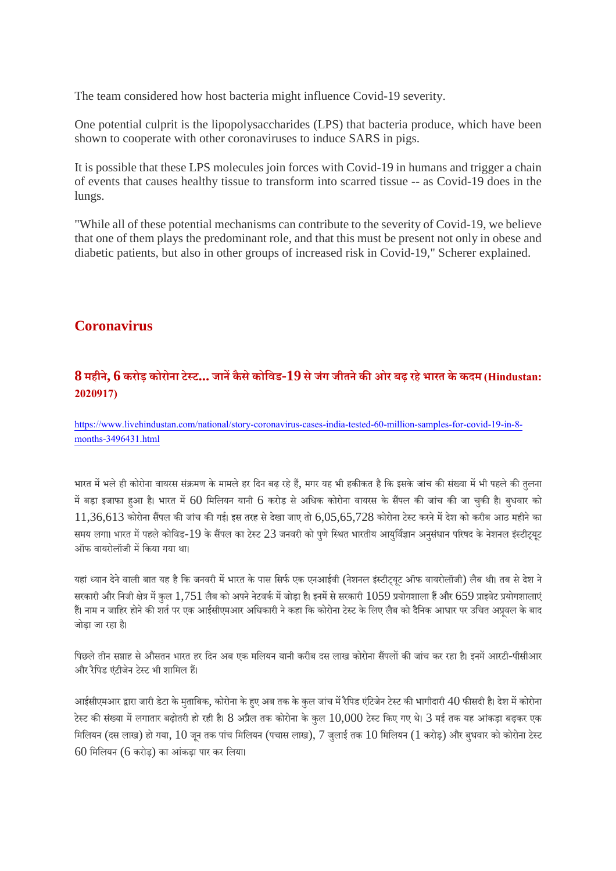The team considered how host bacteria might influence Covid-19 severity.

One potential culprit is the lipopolysaccharides (LPS) that bacteria produce, which have been shown to cooperate with other coronaviruses to induce SARS in pigs.

It is possible that these LPS molecules join forces with Covid-19 in humans and trigger a chain of events that causes healthy tissue to transform into scarred tissue -- as Covid-19 does in the lungs.

"While all of these potential mechanisms can contribute to the severity of Covid-19, we believe that one of them plays the predominant role, and that this must be present not only in obese and diabetic patients, but also in other groups of increased risk in Covid-19," Scherer explained.

# **Coronavirus**

#### **8 महीने, 6 करोड़ कोरोना टेट... जानकैसेकोिवड-19 सेजंग जीतनेकओर बढ़ रहेभारत केकदम (Hindustan: 2020917)**

https://www.livehindustan.com/national/story-coronavirus-cases-india-tested-60-million-samples-for-covid-19-in-8 months-3496431.html

भारत में भले ही कोरोना वायरस संक्रमण के मामले हर दिन बढ़ रहे हैं, मगर यह भी हकीकत है कि इसके जांच की संख्या में भी पहले की तुलना में बड़ा इजाफा हआ है। भारत में 60 मिलियन यानी 6 करोड़ से अधिक कोरोना वायरस के सैंपल की जांच की जा चुकी है। बुधवार को  $11,36,613$  कोरोना सैंपल की जांच की गई। इस तरह से देखा जाए तो  $6,05,65,728$  कोरोना टेस्ट करने में देश को करीब आठ महीने का समय लगा। भारत में पहले कोविड-19 के सैंपल का टेस्ट 23 जनवरी को पणे स्थित भारतीय आयुर्विज्ञान अनुसंधान परिषद के नेशनल इंस्टीटयूट ऑफ वायरोलॉजी मिकया गया था।

यहां ध्यान देने वाली बात यह है कि जनवरी में भारत के पास सिर्फ एक एनआईवी (नेशनल इंस्टीट्यूट ऑफ वायरोलॉजी) लैब थी। तब से देश ने सरकारी और निजी क्षेत्र में कुल 1,751 लैब को अपने नेटवर्क में जोड़ा है। इनमें से सरकारी 1059 प्रयोगशाला हैं और 659 प्राइवेट प्रयोगशालाएं हैं। नाम न जाहिर होने की शर्त पर एक आईसीएमआर अधिकारी ने कहा कि कोरोना टेस्ट के लिए लैब को दैनिक आधार पर उचित अप्रवल के बाद जोड़ा जा रहा ह।ै

पिछले तीन सप्ताह से औसतन भारत हर दिन अब एक मलियन यानी करीब दस लाख कोरोना सैंपलों की जांच कर रहा है। इनमें आरटी-पीसीआर और रैपिड एंटीजेन टेस्ट भी शामिल हैं।

आईसीएमआर द्वारा जारी डेटा के मुताबिक, कोरोना के हए अब तक के कुल जांच में रैपिड एंटिजेन टेस्ट की भागीदारी 40 फीसदी है। देश में कोरोना टेस्ट की संख्या में लगातार बढ़ोतरी हो रही है। 8 अप्रैल तक कोरोना के कुल  $10{,}000$  टेस्ट किए गए थे। 3 मई तक यह आंकड़ा बढ़कर एक मिलियन (दस लाख) हो गया,  $10$  जन तक पांच मिलियन (पचास लाख), 7 जलाई तक  $10$  मिलियन ( $1$  करोड़) और बुधवार को कोरोना टेस्ट  $60$  मिलियन  $(6 \text{ axis})$  का आंकड़ा पार कर लिया।